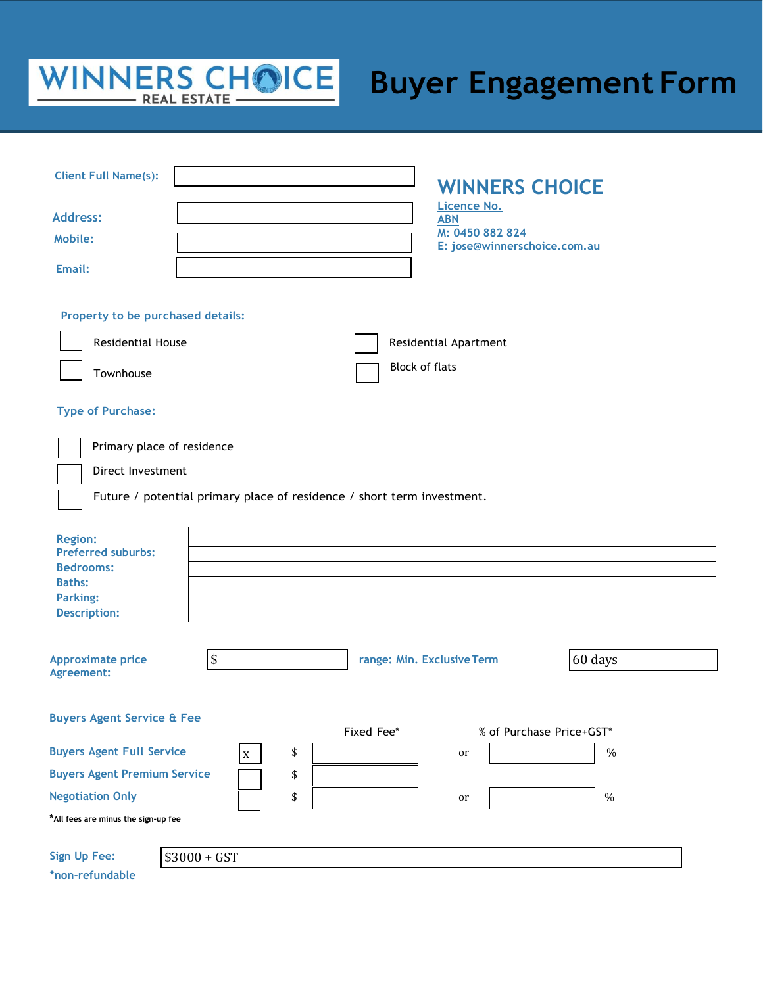# WINNERS CHOICE

## **Buyer Engagement Form**

| <b>Client Full Name(s):</b>                                                                                                |                                                                        | <b>WINNERS CHOICE</b>                          |         |
|----------------------------------------------------------------------------------------------------------------------------|------------------------------------------------------------------------|------------------------------------------------|---------|
| <b>Address:</b>                                                                                                            |                                                                        | Licence No.<br><b>ABN</b>                      |         |
| <b>Mobile:</b>                                                                                                             |                                                                        | M: 0450 882 824                                |         |
| Email:                                                                                                                     |                                                                        | E: jose@winnerschoice.com.au                   |         |
| Property to be purchased details:<br><b>Residential House</b><br>Townhouse                                                 |                                                                        | Residential Apartment<br><b>Block of flats</b> |         |
| <b>Type of Purchase:</b>                                                                                                   |                                                                        |                                                |         |
| Primary place of residence<br>Direct Investment                                                                            | Future / potential primary place of residence / short term investment. |                                                |         |
| <b>Region:</b><br><b>Preferred suburbs:</b><br><b>Bedrooms:</b><br><b>Baths:</b><br><b>Parking:</b><br><b>Description:</b> |                                                                        |                                                |         |
| <b>Approximate price</b><br>Agreement:                                                                                     | \$                                                                     | range: Min. Exclusive Term                     | 60 days |
| <b>Buyers Agent Service &amp; Fee</b>                                                                                      |                                                                        | Fixed Fee*<br>% of Purchase Price+GST*         |         |
| <b>Buyers Agent Full Service</b><br>\$<br>$\%$<br>or<br>$\mathbf X$                                                        |                                                                        |                                                |         |
| <b>Buyers Agent Premium Service</b>                                                                                        | \$                                                                     |                                                |         |
| <b>Negotiation Only</b>                                                                                                    | \$                                                                     | or                                             | $\%$    |
| *All fees are minus the sign-up fee                                                                                        |                                                                        |                                                |         |
| <b>Sign Up Fee:</b>                                                                                                        | $$3000 + GST$                                                          |                                                |         |

**\*non-refundable**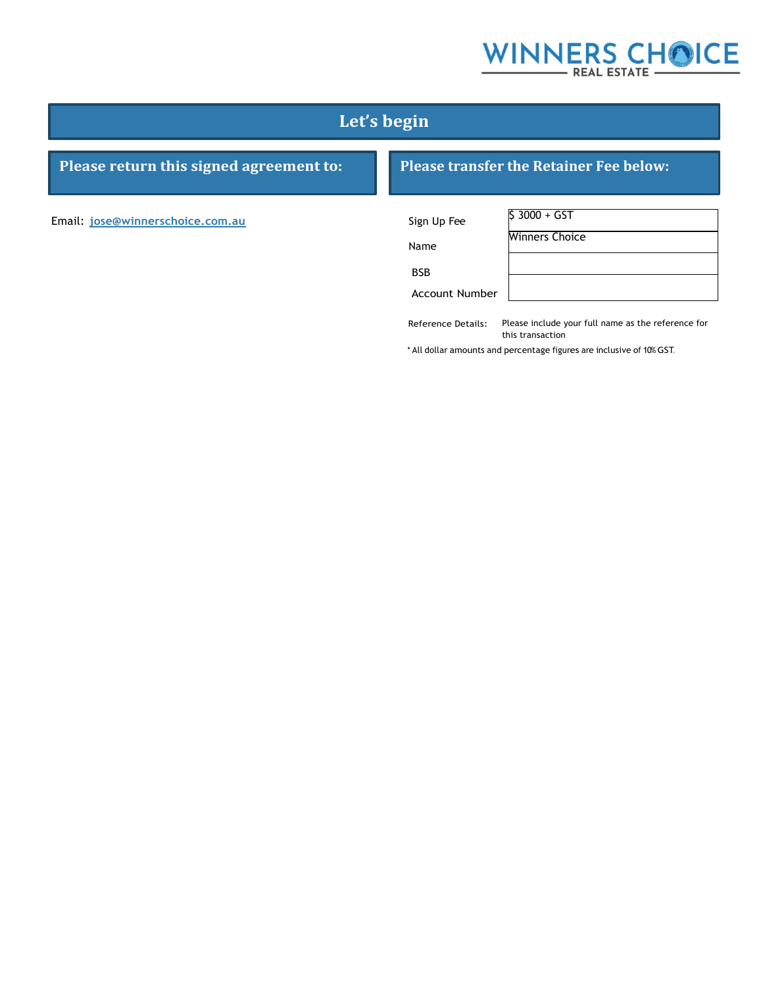## WINNERS CHOICE

### **Let's begin**

### **Please return this signed agreement to: Please transfer the Retainer Fee below:**

Email: **[jose@winnerschoice.com.au](mailto:jose@winnerschoice.com.au)** Sign Up Fee

Name

BSB

| Sign Up Fee           | $$3000 + GST$         |
|-----------------------|-----------------------|
| Name                  | <b>Winners Choice</b> |
| <b>BSB</b>            |                       |
| <b>Account Number</b> |                       |

Reference Details: Please include your full name as the reference for this transaction

\* All dollar amounts and percentage figures are inclusive of 10% GST.